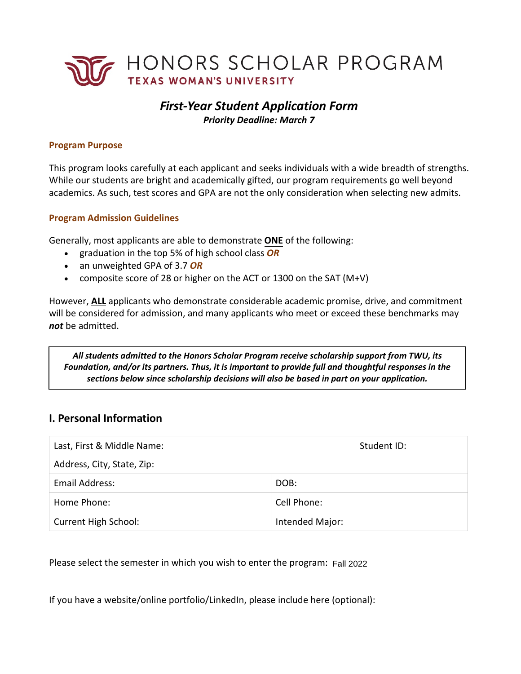

# *First-Year Student Application Form Priority Deadline: March 7*

### **Program Purpose**

This program looks carefully at each applicant and seeks individuals with a wide breadth of strengths. While our students are bright and academically gifted, our program requirements go well beyond academics. As such, test scores and GPA are not the only consideration when selecting new admits.

### **Program Admission Guidelines**

Generally, most applicants are able to demonstrate **ONE** of the following:

- graduation in the top 5% of high school class *OR*
- an unweighted GPA of 3.7 *OR*
- composite score of 28 or higher on the ACT or 1300 on the SAT (M+V)

However, **ALL** applicants who demonstrate considerable academic promise, drive, and commitment will be considered for admission, and many applicants who meet or exceed these benchmarks may *not* be admitted.

 *All students admitted to the Honors Scholar Program receive scholarship support from TWU, its Foundation, and/or its partners. Thus, it is important to provide full and thoughtful responses in the sections below since scholarship decisions will also be based in part on your application.* 

## **I. Personal Information**

| Last, First & Middle Name: |                 | Student ID: |
|----------------------------|-----------------|-------------|
| Address, City, State, Zip: |                 |             |
| Email Address:             | DOB:            |             |
| Home Phone:                | Cell Phone:     |             |
| Current High School:       | Intended Major: |             |

Please select the semester in which you wish to enter the program: Fall 2022

If you have a website/online portfolio/LinkedIn, please include here (optional):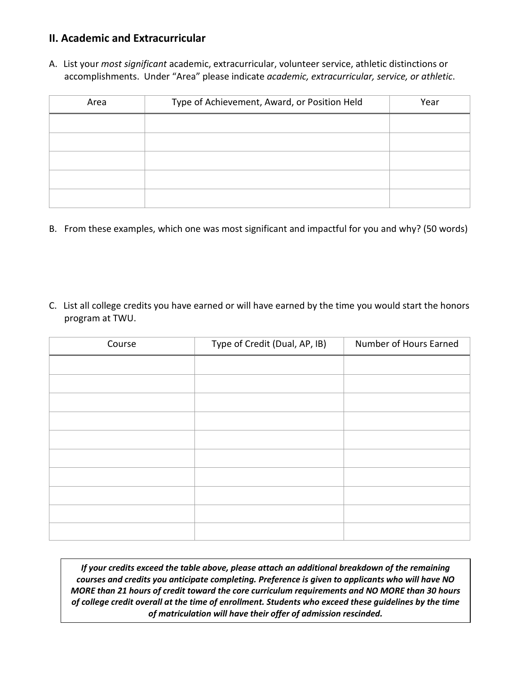## **II. Academic and Extracurricular**

 accomplishments. Under "Area" please indicate *academic, extracurricular, service, or athletic*. A. List your *most significant* academic, extracurricular, volunteer service, athletic distinctions or

| Area | Type of Achievement, Award, or Position Held | Year |
|------|----------------------------------------------|------|
|      |                                              |      |
|      |                                              |      |
|      |                                              |      |
|      |                                              |      |
|      |                                              |      |

- B. From these examples, which one was most significant and impactful for you and why? (50 words)
- C. List all college credits you have earned or will have earned by the time you would start the honors program at TWU.

| Course | Type of Credit (Dual, AP, IB) | Number of Hours Earned |
|--------|-------------------------------|------------------------|
|        |                               |                        |
|        |                               |                        |
|        |                               |                        |
|        |                               |                        |
|        |                               |                        |
|        |                               |                        |
|        |                               |                        |
|        |                               |                        |
|        |                               |                        |
|        |                               |                        |

 *If your credits exceed the table above, please attach an additional breakdown of the remaining courses and credits you anticipate completing. Preference is given to applicants who will have NO MORE than 21 hours of credit toward the core curriculum requirements and NO MORE than 30 hours of college credit overall at the time of enrollment. Students who exceed these guidelines by the time of matriculation will have their offer of admission rescinded.*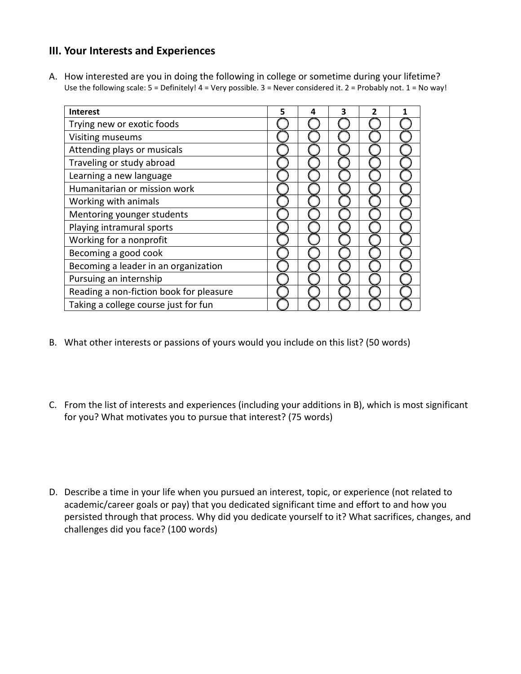## **III. Your Interests and Experiences**

A. How interested are you in doing the following in college or sometime during your lifetime? Use the following scale: 5 = Definitely! 4 = Very possible. 3 = Never considered it. 2 = Probably not. 1 = No way!

| <b>Interest</b>                         | 5 | 4 | 3 |  |
|-----------------------------------------|---|---|---|--|
| Trying new or exotic foods              |   |   |   |  |
| Visiting museums                        |   |   |   |  |
| Attending plays or musicals             |   |   |   |  |
| Traveling or study abroad               |   |   |   |  |
| Learning a new language                 |   |   |   |  |
| Humanitarian or mission work            |   |   |   |  |
| Working with animals                    |   |   |   |  |
| Mentoring younger students              |   |   |   |  |
| Playing intramural sports               |   |   |   |  |
| Working for a nonprofit                 |   |   |   |  |
| Becoming a good cook                    |   |   |   |  |
| Becoming a leader in an organization    |   |   |   |  |
| Pursuing an internship                  |   |   |   |  |
| Reading a non-fiction book for pleasure |   |   |   |  |
| Taking a college course just for fun    |   |   |   |  |

- B. What other interests or passions of yours would you include on this list? (50 words)
- C. From the list of interests and experiences (including your additions in B), which is most significant for you? What motivates you to pursue that interest? (75 words)
- D. Describe a time in your life when you pursued an interest, topic, or experience (not related to academic/career goals or pay) that you dedicated significant time and effort to and how you persisted through that process. Why did you dedicate yourself to it? What sacrifices, changes, and challenges did you face? (100 words)